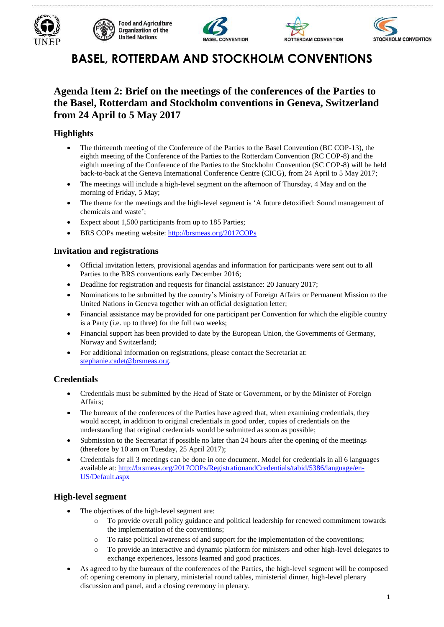









# **BASEL, ROTTERDAM AND STOCKHOLM CONVENTIONS**

# **Agenda Item 2: Brief on the meetings of the conferences of the Parties to the Basel, Rotterdam and Stockholm conventions in Geneva, Switzerland from 24 April to 5 May 2017**

# **Highlights**

- The thirteenth meeting of the Conference of the Parties to the Basel Convention (BC COP-13), the eighth meeting of the Conference of the Parties to the Rotterdam Convention (RC COP-8) and the eighth meeting of the Conference of the Parties to the Stockholm Convention (SC COP-8) will be held back-to-back at the Geneva International Conference Centre (CICG), from 24 April to 5 May 2017;
- The meetings will include a high-level segment on the afternoon of Thursday, 4 May and on the morning of Friday, 5 May;
- The theme for the meetings and the high-level segment is 'A future detoxified: Sound management of chemicals and waste';
- Expect about 1,500 participants from up to 185 Parties;
- BRS COPs meeting website: <http://brsmeas.org/2017COPs>

# **Invitation and registrations**

- Official invitation letters, provisional agendas and information for participants were sent out to all Parties to the BRS conventions early December 2016;
- Deadline for registration and requests for financial assistance: 20 January 2017;
- Nominations to be submitted by the country's Ministry of Foreign Affairs or Permanent Mission to the United Nations in Geneva together with an official designation letter;
- Financial assistance may be provided for one participant per Convention for which the eligible country is a Party (i.e. up to three) for the full two weeks;
- Financial support has been provided to date by the European Union, the Governments of Germany, Norway and Switzerland;
- For additional information on registrations, please contact the Secretariat at: [stephanie.cadet@brsmeas.org.](mailto:stephanie.cadet@brsmeas.org)

# **Credentials**

- Credentials must be submitted by the Head of State or Government, or by the Minister of Foreign Affairs;
- The bureaux of the conferences of the Parties have agreed that, when examining credentials, they would accept, in addition to original credentials in good order, copies of credentials on the understanding that original credentials would be submitted as soon as possible;
- Submission to the Secretariat if possible no later than 24 hours after the opening of the meetings (therefore by 10 am on Tuesday, 25 April 2017);
- Credentials for all 3 meetings can be done in one document. Model for credentials in all 6 languages available at: [http://brsmeas.org/2017COPs/RegistrationandCredentials/tabid/5386/language/en-](http://brsmeas.org/2017COPs/RegistrationandCredentials/tabid/5386/language/en-US/Default.aspx)[US/Default.aspx](http://brsmeas.org/2017COPs/RegistrationandCredentials/tabid/5386/language/en-US/Default.aspx)

# **High-level segment**

- The objectives of the high-level segment are:
	- o To provide overall policy guidance and political leadership for renewed commitment towards the implementation of the conventions;
	- o To raise political awareness of and support for the implementation of the conventions;
	- o To provide an interactive and dynamic platform for ministers and other high-level delegates to exchange experiences, lessons learned and good practices.
- As agreed to by the bureaux of the conferences of the Parties, the high-level segment will be composed of: opening ceremony in plenary, ministerial round tables, ministerial dinner, high-level plenary discussion and panel, and a closing ceremony in plenary.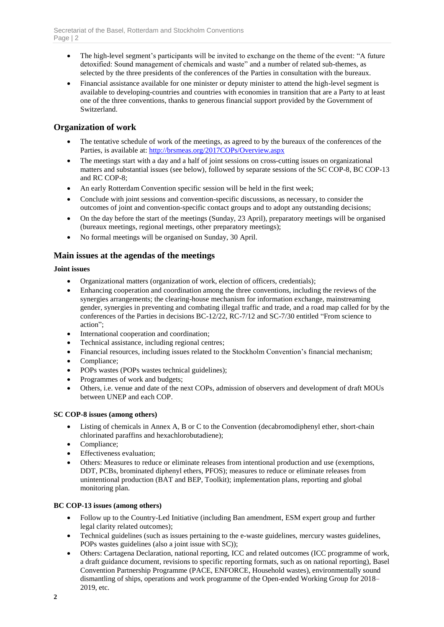- The high-level segment's participants will be invited to exchange on the theme of the event: "A future detoxified: Sound management of chemicals and waste" and a number of related sub-themes, as selected by the three presidents of the conferences of the Parties in consultation with the bureaux.
- Financial assistance available for one minister or deputy minister to attend the high-level segment is available to developing-countries and countries with economies in transition that are a Party to at least one of the three conventions, thanks to generous financial support provided by the Government of Switzerland.

# **Organization of work**

- The tentative schedule of work of the meetings, as agreed to by the bureaux of the conferences of the Parties, is available at:<http://brsmeas.org/2017COPs/Overview.aspx>
- The meetings start with a day and a half of joint sessions on cross-cutting issues on organizational matters and substantial issues (see below), followed by separate sessions of the SC COP-8, BC COP-13 and RC COP-8;
- An early Rotterdam Convention specific session will be held in the first week;
- Conclude with joint sessions and convention-specific discussions, as necessary, to consider the outcomes of joint and convention-specific contact groups and to adopt any outstanding decisions;
- On the day before the start of the meetings (Sunday, 23 April), preparatory meetings will be organised (bureaux meetings, regional meetings, other preparatory meetings);
- No formal meetings will be organised on Sunday, 30 April.

# **Main issues at the agendas of the meetings**

#### **Joint issues**

- Organizational matters (organization of work, election of officers, credentials);
- Enhancing cooperation and coordination among the three conventions, including the reviews of the synergies arrangements; the clearing-house mechanism for information exchange, mainstreaming gender, synergies in preventing and combating illegal traffic and trade, and a road map called for by the conferences of the Parties in decisions BC-12/22, RC-7/12 and SC-7/30 entitled "From science to action";
- International cooperation and coordination;
- Technical assistance, including regional centres;
- Financial resources, including issues related to the Stockholm Convention's financial mechanism;
- Compliance:
- POPs wastes (POPs wastes technical guidelines);
- Programmes of work and budgets;
- Others, i.e. venue and date of the next COPs, admission of observers and development of draft MOUs between UNEP and each COP.

#### **SC COP-8 issues (among others)**

- Listing of chemicals in Annex A, B or C to the Convention (decabromodiphenyl ether, short-chain chlorinated paraffins and hexachlorobutadiene);
- Compliance;
- Effectiveness evaluation;
- Others: Measures to reduce or eliminate releases from intentional production and use (exemptions, DDT, PCBs, brominated diphenyl ethers, PFOS); measures to reduce or eliminate releases from unintentional production (BAT and BEP, Toolkit); implementation plans, reporting and global monitoring plan.

#### **BC COP-13 issues (among others)**

- Follow up to the Country-Led Initiative (including Ban amendment, ESM expert group and further legal clarity related outcomes);
- Technical guidelines (such as issues pertaining to the e-waste guidelines, mercury wastes guidelines, POPs wastes guidelines (also a joint issue with SC));
- Others: Cartagena Declaration, national reporting, ICC and related outcomes (ICC programme of work, a draft guidance document, revisions to specific reporting formats, such as on national reporting), Basel Convention Partnership Programme (PACE, ENFORCE, Household wastes), environmentally sound dismantling of ships, operations and work programme of the Open-ended Working Group for 2018– 2019, etc.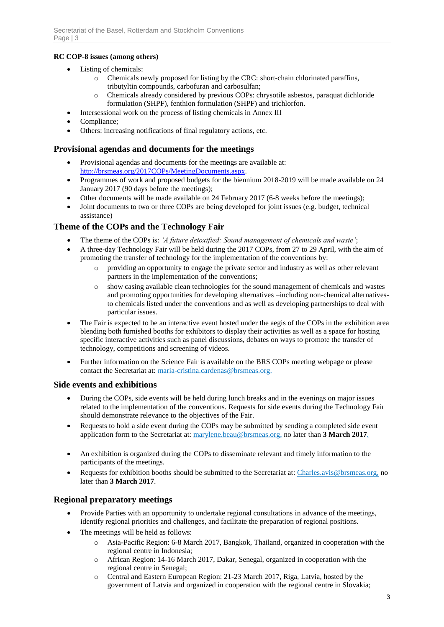#### **RC COP-8 issues (among others)**

- Listing of chemicals:
	- o Chemicals newly proposed for listing by the CRC: short-chain chlorinated paraffins, tributyltin compounds, carbofuran and carbosulfan;
	- o Chemicals already considered by previous COPs: chrysotile asbestos, paraquat dichloride formulation (SHPF), fenthion formulation (SHPF) and trichlorfon.
- Intersessional work on the process of listing chemicals in Annex III
- Compliance;
- Others: increasing notifications of final regulatory actions, etc.

#### **Provisional agendas and documents for the meetings**

- Provisional agendas and documents for the meetings are available at: [http://brsmeas.org/2017COPs/MeetingDocuments.aspx.](http://brsmeas.org/2017COPs/MeetingDocuments.aspx)
- Programmes of work and proposed budgets for the biennium 2018-2019 will be made available on 24 January 2017 (90 days before the meetings);
- Other documents will be made available on 24 February 2017 (6-8 weeks before the meetings);
- Joint documents to two or three COPs are being developed for joint issues (e.g. budget, technical assistance)

# **Theme of the COPs and the Technology Fair**

- The theme of the COPs is: *'A future detoxified: Sound management of chemicals and waste'*;
- A three-day Technology Fair will be held during the 2017 COPs, from 27 to 29 April, with the aim of promoting the transfer of technology for the implementation of the conventions by:
	- o providing an opportunity to engage the private sector and industry as well as other relevant partners in the implementation of the conventions;
	- o show casing available clean technologies for the sound management of chemicals and wastes and promoting opportunities for developing alternatives –including non-chemical alternativesto chemicals listed under the conventions and as well as developing partnerships to deal with particular issues.
- The Fair is expected to be an interactive event hosted under the aegis of the COPs in the exhibition area blending both furnished booths for exhibitors to display their activities as well as a space for hosting specific interactive activities such as panel discussions, debates on ways to promote the transfer of technology, competitions and screening of videos.
- Further information on the Science Fair is available on the BRS COPs meeting webpage or please contact the Secretariat at: maria-cristina.cardenas@brsmeas.org.

## **Side events and exhibitions**

- During the COPs, side events will be held during lunch breaks and in the evenings on major issues related to the implementation of the conventions. Requests for side events during the Technology Fair should demonstrate relevance to the objectives of the Fair.
- Requests to hold a side event during the COPs may be submitted by sending a completed side event application form to the Secretariat at: marylene.beau@brsmeas.org, no later than **3 March 2017**.
- An exhibition is organized during the COPs to disseminate relevant and timely information to the participants of the meetings.
- Requests for exhibition booths should be submitted to the Secretariat at: Charles.avis@brsmeas.org, no later than **3 March 2017**.

## **Regional preparatory meetings**

- Provide Parties with an opportunity to undertake regional consultations in advance of the meetings, identify regional priorities and challenges, and facilitate the preparation of regional positions.
- The meetings will be held as follows:
	- Asia-Pacific Region: 6-8 March 2017, Bangkok, Thailand, organized in cooperation with the regional centre in Indonesia;
	- o African Region: 14-16 March 2017, Dakar, Senegal, organized in cooperation with the regional centre in Senegal;
	- o Central and Eastern European Region: 21-23 March 2017, Riga, Latvia, hosted by the government of Latvia and organized in cooperation with the regional centre in Slovakia;